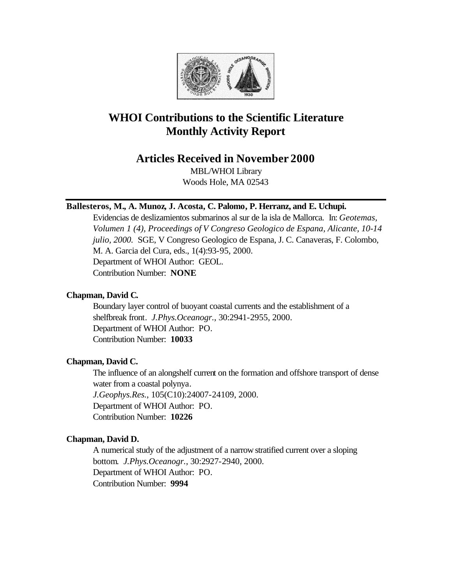

# **WHOI Contributions to the Scientific Literature Monthly Activity Report**

## **Articles Received in November 2000**

MBL/WHOI Library Woods Hole, MA 02543

## **Ballesteros, M., A. Munoz, J. Acosta, C. Palomo, P. Herranz, and E. Uchupi.**

Evidencias de deslizamientos submarinos al sur de la isla de Mallorca. In: *Geotemas, Volumen 1 (4), Proceedings of V Congreso Geologico de Espana, Alicante, 10-14 julio, 2000.* SGE, V Congreso Geologico de Espana, J. C. Canaveras, F. Colombo, M. A. Garcia del Cura, eds., 1(4):93-95, 2000. Department of WHOI Author: GEOL. Contribution Number: **NONE**

## **Chapman, David C.**

Boundary layer control of buoyant coastal currents and the establishment of a shelfbreak front. *J.Phys.Oceanogr.*, 30:2941-2955, 2000. Department of WHOI Author: PO. Contribution Number: **10033**

## **Chapman, David C.**

The influence of an alongshelf current on the formation and offshore transport of dense water from a coastal polynya. *J.Geophys.Res.*, 105(C10):24007-24109, 2000. Department of WHOI Author: PO. Contribution Number: **10226**

## **Chapman, David D.**

A numerical study of the adjustment of a narrow stratified current over a sloping bottom. *J.Phys.Oceanogr.*, 30:2927-2940, 2000. Department of WHOI Author: PO. Contribution Number: **9994**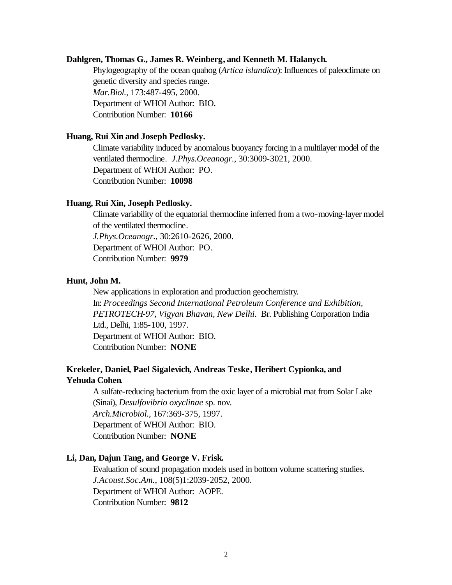## **Dahlgren, Thomas G., James R. Weinberg, and Kenneth M. Halanych.**

Phylogeography of the ocean quahog (*Artica islandica*): Influences of paleoclimate on genetic diversity and species range. *Mar.Biol.*, 173:487-495, 2000. Department of WHOI Author: BIO. Contribution Number: **10166**

#### **Huang, Rui Xin and Joseph Pedlosky.**

Climate variability induced by anomalous buoyancy forcing in a multilayer model of the ventilated thermocline. *J.Phys.Oceanogr.*, 30:3009-3021, 2000. Department of WHOI Author: PO. Contribution Number: **10098**

#### **Huang, Rui Xin, Joseph Pedlosky.**

Climate variability of the equatorial thermocline inferred from a two-moving-layer model of the ventilated thermocline.

*J.Phys.Oceanogr.*, 30:2610-2626, 2000.

Department of WHOI Author: PO.

Contribution Number: **9979**

## **Hunt, John M.**

New applications in exploration and production geochemistry*.*  In: *Proceedings Second International Petroleum Conference and Exhibition, PETROTECH-97, Vigyan Bhavan, New Delhi*. Br. Publishing Corporation India Ltd., Delhi, 1:85-100, 1997. Department of WHOI Author: BIO. Contribution Number: **NONE**

## **Krekeler, Daniel, Pael Sigalevich, Andreas Teske, Heribert Cypionka, and Yehuda Cohen.**

A sulfate-reducing bacterium from the oxic layer of a microbial mat from Solar Lake (Sinai), *Desulfovibrio oxyclinae* sp. nov. *Arch.Microbiol.*, 167:369-375, 1997. Department of WHOI Author: BIO. Contribution Number: **NONE**

#### **Li, Dan, Dajun Tang, and George V. Frisk.**

Evaluation of sound propagation models used in bottom volume scattering studies. *J.Acoust.Soc.Am.*, 108(5)1:2039-2052, 2000. Department of WHOI Author: AOPE. Contribution Number: **9812**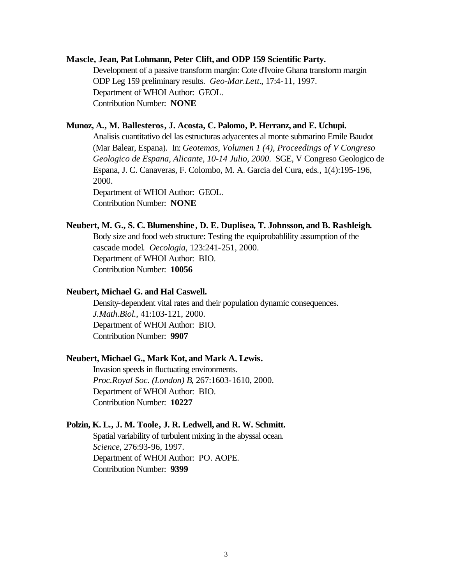#### **Mascle, Jean, Pat Lohmann, Peter Clift, and ODP 159 Scientific Party.**

Development of a passive transform margin: Cote d'Ivoire Ghana transform margin ODP Leg 159 preliminary results. *Geo-Mar.Lett.*, 17:4-11, 1997. Department of WHOI Author: GEOL. Contribution Number: **NONE**

## **Munoz, A., M. Ballesteros, J. Acosta, C. Palomo, P. Herranz, and E. Uchupi.**

Analisis cuantitativo del las estructuras adyacentes al monte submarino Emile Baudot (Mar Balear, Espana). In: *Geotemas, Volumen 1 (4), Proceedings of V Congreso Geologico de Espana, Alicante, 10-14 Julio, 2000*. SGE, V Congreso Geologico de Espana, J. C. Canaveras, F. Colombo, M. A. Garcia del Cura, eds*.*, 1(4):195-196, 2000. Department of WHOI Author: GEOL.

Contribution Number: **NONE**

#### **Neubert, M. G., S. C. Blumenshine, D. E. Duplisea, T. Johnsson, and B. Rashleigh.**

Body size and food web structure: Testing the equiprobablility assumption of the cascade model. *Oecologia*, 123:241-251, 2000. Department of WHOI Author: BIO. Contribution Number: **10056**

## **Neubert, Michael G. and Hal Caswell.**

Density-dependent vital rates and their population dynamic consequences. *J.Math.Biol.*, 41:103-121, 2000. Department of WHOI Author: BIO. Contribution Number: **9907**

## **Neubert, Michael G., Mark Kot, and Mark A. Lewis.**

Invasion speeds in fluctuating environments. *Proc.Royal Soc. (London) B*, 267:1603-1610, 2000. Department of WHOI Author: BIO. Contribution Number: **10227**

#### **Polzin, K. L., J. M. Toole, J. R. Ledwell, and R. W. Schmitt.**

Spatial variability of turbulent mixing in the abyssal ocean. *Science*, 276:93-96, 1997. Department of WHOI Author: PO. AOPE. Contribution Number: **9399**